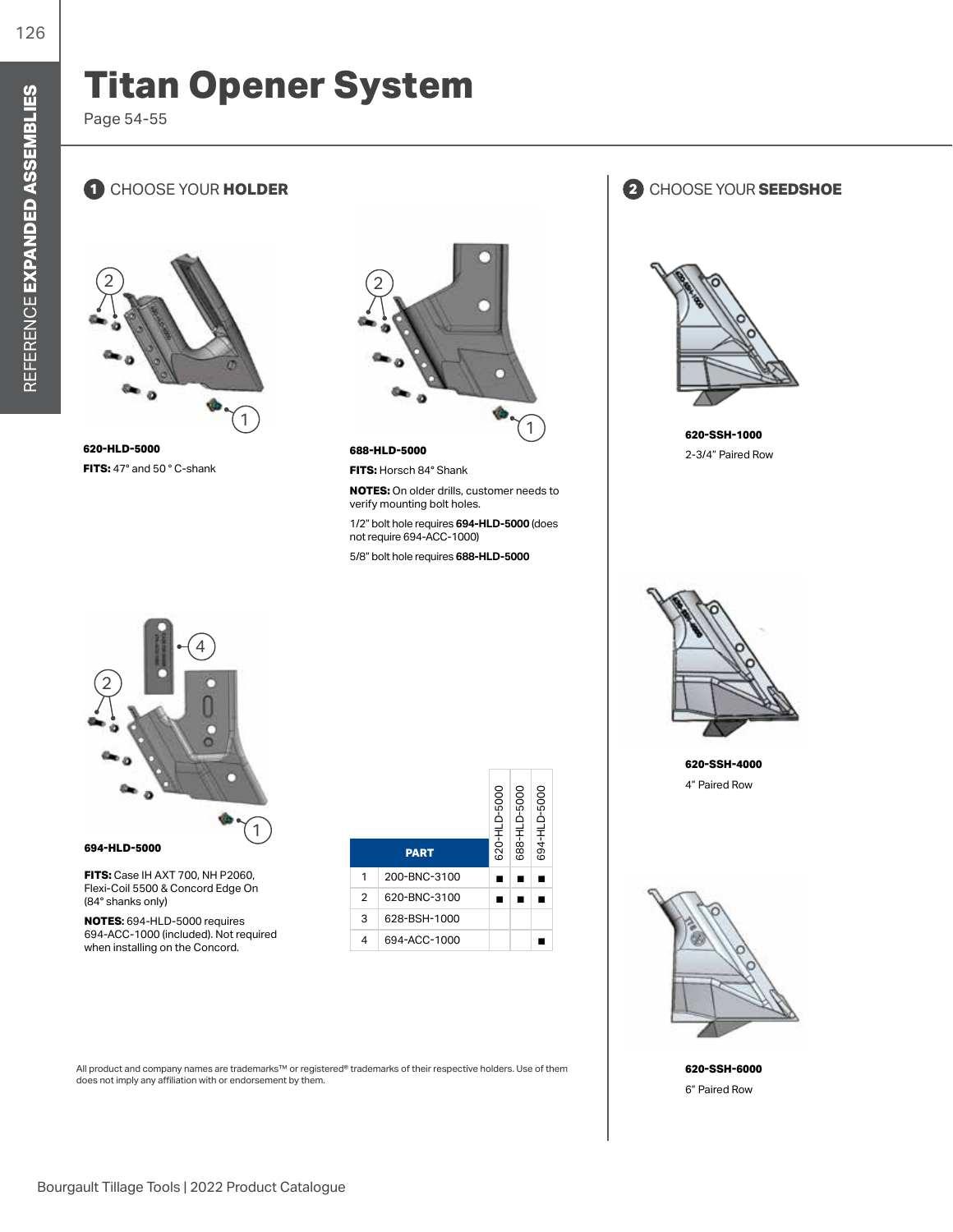## **Titan Opener System**

Page 54-55

## **1** CHOOSE YOUR **HOLDER 2** CHOOSE YOUR **SEEDSHOE**



**620-HLD-5000 FITS:** 47° and 50 ° C-shank



**688-HLD-5000**

**FITS:** Horsch 84° Shank

**NOTES:** On older drills, customer needs to verify mounting bolt holes.

1/2" bolt hole requires **694-HLD-5000** (does not require 694-ACC-1000)

5/8" bolt hole requires **688-HLD-5000**









**620-SSH-4000** 4" Paired Row



**620-SSH-6000** 6" Paired Row



**FITS:** Case IH AXT 700, NH P2060, Flexi-Coil 5500 & Concord Edge On (84° shanks only)

**NOTES:** 694-HLD-5000 requires 694-ACC-1000 (included). Not required when installing on the Concord.

|                |              | 620-HLD-5000 | 688-HLD-5000 | 694-HLD-5000 |
|----------------|--------------|--------------|--------------|--------------|
| <b>PART</b>    |              |              |              |              |
| 1              | 200-BNC-3100 |              |              |              |
| $\overline{2}$ | 620-BNC-3100 |              |              |              |
| 3              | 628-BSH-1000 |              |              |              |
|                | 694-ACC-1000 |              |              |              |

T. т

All product and company names are trademarks™ or registered® trademarks of their respective holders. Use of them does not imply any affiliation with or endorsement by them.